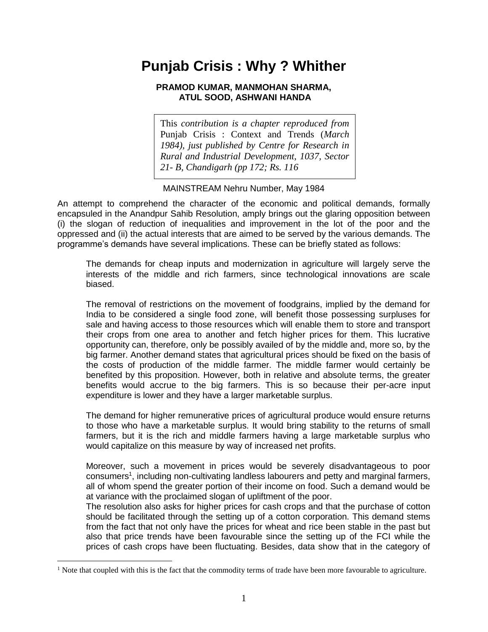## **Punjab Crisis : Why ? Whither**

## **PRAMOD KUMAR, MANMOHAN SHARMA, ATUL SOOD, ASHWANI HANDA**

This *contribution is a chapter reproduced from* Punjab Crisis : Context and Trends (*March 1984), just published by Centre for Research in Rural and Industrial Development, 1037, Sector 21- B, Chandigarh (pp 172; Rs. 116*

## MAINSTREAM Nehru Number, May 1984

An attempt to comprehend the character of the economic and political demands, formally encapsuled in the Anandpur Sahib Resolution, amply brings out the glaring opposition between (i) the slogan of reduction of inequalities and improvement in the lot of the poor and the oppressed and (ii) the actual interests that are aimed to be served by the various demands. The programme's demands have several implications. These can be briefly stated as follows:

The demands for cheap inputs and modernization in agriculture will largely serve the interests of the middle and rich farmers, since technological innovations are scale biased.

The removal of restrictions on the movement of foodgrains, implied by the demand for India to be considered a single food zone, will benefit those possessing surpluses for sale and having access to those resources which will enable them to store and transport their crops from one area to another and fetch higher prices for them. This lucrative opportunity can, therefore, only be possibly availed of by the middle and, more so, by the big farmer. Another demand states that agricultural prices should be fixed on the basis of the costs of production of the middle farmer. The middle farmer would certainly be benefited by this proposition. However, both in relative and absolute terms, the greater benefits would accrue to the big farmers. This is so because their per-acre input expenditure is lower and they have a larger marketable surplus.

The demand for higher remunerative prices of agricultural produce would ensure returns to those who have a marketable surplus. It would bring stability to the returns of small farmers, but it is the rich and middle farmers having a large marketable surplus who would capitalize on this measure by way of increased net profits.

Moreover, such a movement in prices would be severely disadvantageous to poor consumers<sup>1</sup>, including non-cultivating landless labourers and petty and marginal farmers, all of whom spend the greater portion of their income on food. Such a demand would be at variance with the proclaimed slogan of upliftment of the poor.

The resolution also asks for higher prices for cash crops and that the purchase of cotton should be facilitated through the setting up of a cotton corporation. This demand stems from the fact that not only have the prices for wheat and rice been stable in the past but also that price trends have been favourable since the setting up of the FCI while the prices of cash crops have been fluctuating. Besides, data show that in the category of

<sup>&</sup>lt;sup>1</sup> Note that coupled with this is the fact that the commodity terms of trade have been more favourable to agriculture.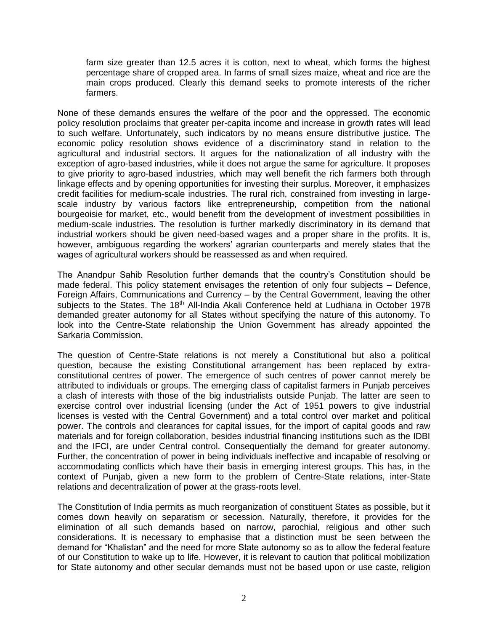farm size greater than 12.5 acres it is cotton, next to wheat, which forms the highest percentage share of cropped area. In farms of small sizes maize, wheat and rice are the main crops produced. Clearly this demand seeks to promote interests of the richer farmers.

None of these demands ensures the welfare of the poor and the oppressed. The economic policy resolution proclaims that greater per-capita income and increase in growth rates will lead to such welfare. Unfortunately, such indicators by no means ensure distributive justice. The economic policy resolution shows evidence of a discriminatory stand in relation to the agricultural and industrial sectors. It argues for the nationalization of all industry with the exception of agro-based industries, while it does not argue the same for agriculture. It proposes to give priority to agro-based industries, which may well benefit the rich farmers both through linkage effects and by opening opportunities for investing their surplus. Moreover, it emphasizes credit facilities for medium-scale industries. The rural rich, constrained from investing in largescale industry by various factors like entrepreneurship, competition from the national bourgeoisie for market, etc., would benefit from the development of investment possibilities in medium-scale industries. The resolution is further markedly discriminatory in its demand that industrial workers should be given need-based wages and a proper share in the profits. It is, however, ambiguous regarding the workers' agrarian counterparts and merely states that the wages of agricultural workers should be reassessed as and when required.

The Anandpur Sahib Resolution further demands that the country's Constitution should be made federal. This policy statement envisages the retention of only four subjects – Defence, Foreign Affairs, Communications and Currency – by the Central Government, leaving the other subjects to the States. The 18<sup>th</sup> All-India Akali Conference held at Ludhiana in October 1978 demanded greater autonomy for all States without specifying the nature of this autonomy. To look into the Centre-State relationship the Union Government has already appointed the Sarkaria Commission.

The question of Centre-State relations is not merely a Constitutional but also a political question, because the existing Constitutional arrangement has been replaced by extraconstitutional centres of power. The emergence of such centres of power cannot merely be attributed to individuals or groups. The emerging class of capitalist farmers in Punjab perceives a clash of interests with those of the big industrialists outside Punjab. The latter are seen to exercise control over industrial licensing (under the Act of 1951 powers to give industrial licenses is vested with the Central Government) and a total control over market and political power. The controls and clearances for capital issues, for the import of capital goods and raw materials and for foreign collaboration, besides industrial financing institutions such as the IDBI and the IFCI, are under Central control. Consequentially the demand for greater autonomy. Further, the concentration of power in being individuals ineffective and incapable of resolving or accommodating conflicts which have their basis in emerging interest groups. This has, in the context of Punjab, given a new form to the problem of Centre-State relations, inter-State relations and decentralization of power at the grass-roots level.

The Constitution of India permits as much reorganization of constituent States as possible, but it comes down heavily on separatism or secession. Naturally, therefore, it provides for the elimination of all such demands based on narrow, parochial, religious and other such considerations. It is necessary to emphasise that a distinction must be seen between the demand for "Khalistan" and the need for more State autonomy so as to allow the federal feature of our Constitution to wake up to life. However, it is relevant to caution that political mobilization for State autonomy and other secular demands must not be based upon or use caste, religion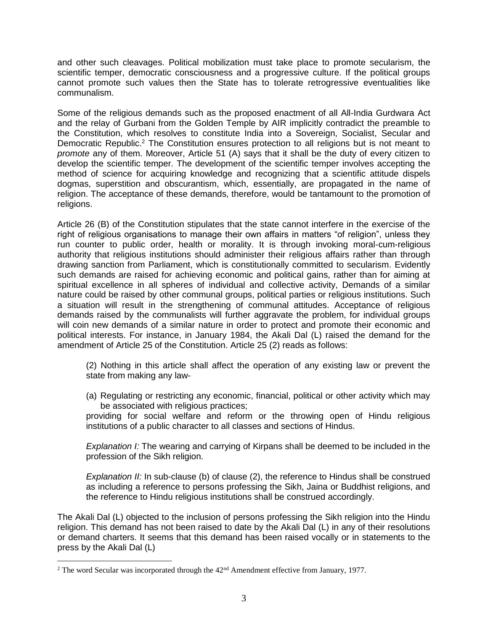and other such cleavages. Political mobilization must take place to promote secularism, the scientific temper, democratic consciousness and a progressive culture. If the political groups cannot promote such values then the State has to tolerate retrogressive eventualities like communalism.

Some of the religious demands such as the proposed enactment of all All-India Gurdwara Act and the relay of Gurbani from the Golden Temple by AIR implicitly contradict the preamble to the Constitution, which resolves to constitute India into a Sovereign, Socialist, Secular and Democratic Republic.<sup>2</sup> The Constitution ensures protection to all religions but is not meant to *promote* any of them. Moreover, Article 51 (A) says that it shall be the duty of every citizen to develop the scientific temper. The development of the scientific temper involves accepting the method of science for acquiring knowledge and recognizing that a scientific attitude dispels dogmas, superstition and obscurantism, which, essentially, are propagated in the name of religion. The acceptance of these demands, therefore, would be tantamount to the promotion of religions.

Article 26 (B) of the Constitution stipulates that the state cannot interfere in the exercise of the right of religious organisations to manage their own affairs in matters "of religion", unless they run counter to public order, health or morality. It is through invoking moral-cum-religious authority that religious institutions should administer their religious affairs rather than through drawing sanction from Parliament, which is constitutionally committed to secularism. Evidently such demands are raised for achieving economic and political gains, rather than for aiming at spiritual excellence in all spheres of individual and collective activity, Demands of a similar nature could be raised by other communal groups, political parties or religious institutions. Such a situation will result in the strengthening of communal attitudes. Acceptance of religious demands raised by the communalists will further aggravate the problem, for individual groups will coin new demands of a similar nature in order to protect and promote their economic and political interests. For instance, in January 1984, the Akali Dal (L) raised the demand for the amendment of Article 25 of the Constitution. Article 25 (2) reads as follows:

(2) Nothing in this article shall affect the operation of any existing law or prevent the state from making any law-

(a) Regulating or restricting any economic, financial, political or other activity which may be associated with religious practices;

providing for social welfare and reform or the throwing open of Hindu religious institutions of a public character to all classes and sections of Hindus.

*Explanation I:* The wearing and carrying of Kirpans shall be deemed to be included in the profession of the Sikh religion.

*Explanation II:* In sub-clause (b) of clause (2), the reference to Hindus shall be construed as including a reference to persons professing the Sikh, Jaina or Buddhist religions, and the reference to Hindu religious institutions shall be construed accordingly.

The Akali Dal (L) objected to the inclusion of persons professing the Sikh religion into the Hindu religion. This demand has not been raised to date by the Akali Dal (L) in any of their resolutions or demand charters. It seems that this demand has been raised vocally or in statements to the press by the Akali Dal (L)

 $2$  The word Secular was incorporated through the  $42<sup>nd</sup>$  Amendment effective from January, 1977.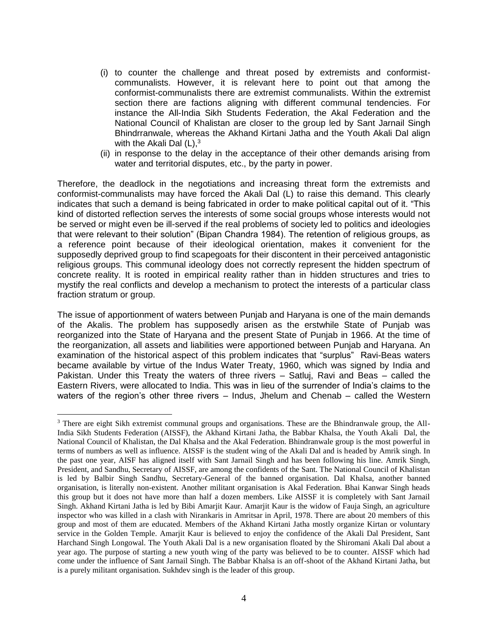- (i) to counter the challenge and threat posed by extremists and conformistcommunalists. However, it is relevant here to point out that among the conformist-communalists there are extremist communalists. Within the extremist section there are factions aligning with different communal tendencies. For instance the All-India Sikh Students Federation, the Akal Federation and the National Council of Khalistan are closer to the group led by Sant Jarnail Singh Bhindrranwale, whereas the Akhand Kirtani Jatha and the Youth Akali Dal align with the Akali Dal  $(L)$ ,  $3<sup>3</sup>$
- (ii) in response to the delay in the acceptance of their other demands arising from water and territorial disputes, etc., by the party in power.

Therefore, the deadlock in the negotiations and increasing threat form the extremists and conformist-communalists may have forced the Akali Dal (L) to raise this demand. This clearly indicates that such a demand is being fabricated in order to make political capital out of it. "This kind of distorted reflection serves the interests of some social groups whose interests would not be served or might even be ill-served if the real problems of society led to politics and ideologies that were relevant to their solution" (Bipan Chandra 1984). The retention of religious groups, as a reference point because of their ideological orientation, makes it convenient for the supposedly deprived group to find scapegoats for their discontent in their perceived antagonistic religious groups. This communal ideology does not correctly represent the hidden spectrum of concrete reality. It is rooted in empirical reality rather than in hidden structures and tries to mystify the real conflicts and develop a mechanism to protect the interests of a particular class fraction stratum or group.

The issue of apportionment of waters between Punjab and Haryana is one of the main demands of the Akalis. The problem has supposedly arisen as the erstwhile State of Punjab was reorganized into the State of Haryana and the present State of Punjab in 1966. At the time of the reorganization, all assets and liabilities were apportioned between Punjab and Haryana. An examination of the historical aspect of this problem indicates that "surplus" Ravi-Beas waters became available by virtue of the Indus Water Treaty, 1960, which was signed by India and Pakistan. Under this Treaty the waters of three rivers – Satluj, Ravi and Beas – called the Eastern Rivers, were allocated to India. This was in lieu of the surrender of India's claims to the waters of the region's other three rivers – Indus, Jhelum and Chenab – called the Western

<sup>&</sup>lt;sup>3</sup> There are eight Sikh extremist communal groups and organisations. These are the Bhindranwale group, the All-India Sikh Students Federation (AISSF), the Akhand Kirtani Jatha, the Babbar Khalsa, the Youth Akali Dal, the National Council of Khalistan, the Dal Khalsa and the Akal Federation. Bhindranwale group is the most powerful in terms of numbers as well as influence. AISSF is the student wing of the Akali Dal and is headed by Amrik singh. In the past one year, AISF has aligned itself with Sant Jarnail Singh and has been following his line. Amrik Singh, President, and Sandhu, Secretary of AISSF, are among the confidents of the Sant. The National Council of Khalistan is led by Balbir Singh Sandhu, Secretary-General of the banned organisation. Dal Khalsa, another banned organisation, is literally non-existent. Another militant organisation is Akal Federation. Bhai Kanwar Singh heads this group but it does not have more than half a dozen members. Like AISSF it is completely with Sant Jarnail Singh. Akhand Kirtani Jatha is led by Bibi Amarjit Kaur. Amarjit Kaur is the widow of Fauja Singh, an agriculture inspector who was killed in a clash with Nirankaris in Amritsar in April, 1978. There are about 20 members of this group and most of them are educated. Members of the Akhand Kirtani Jatha mostly organize Kirtan or voluntary service in the Golden Temple. Amarjit Kaur is believed to enjoy the confidence of the Akali Dal President, Sant Harchand Singh Longowal. The Youth Akali Dal is a new organisation floated by the Shiromani Akali Dal about a year ago. The purpose of starting a new youth wing of the party was believed to be to counter. AISSF which had come under the influence of Sant Jarnail Singh. The Babbar Khalsa is an off-shoot of the Akhand Kirtani Jatha, but is a purely militant organisation. Sukhdev singh is the leader of this group.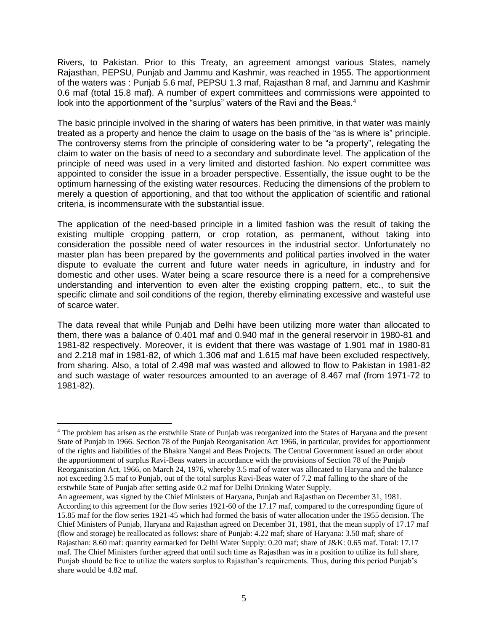Rivers, to Pakistan. Prior to this Treaty, an agreement amongst various States, namely Rajasthan, PEPSU, Punjab and Jammu and Kashmir, was reached in 1955. The apportionment of the waters was : Punjab 5.6 maf, PEPSU 1.3 maf, Rajasthan 8 maf, and Jammu and Kashmir 0.6 maf (total 15.8 maf). A number of expert committees and commissions were appointed to look into the apportionment of the "surplus" waters of the Ravi and the Beas.<sup>4</sup>

The basic principle involved in the sharing of waters has been primitive, in that water was mainly treated as a property and hence the claim to usage on the basis of the "as is where is" principle. The controversy stems from the principle of considering water to be "a property", relegating the claim to water on the basis of need to a secondary and subordinate level. The application of the principle of need was used in a very limited and distorted fashion. No expert committee was appointed to consider the issue in a broader perspective. Essentially, the issue ought to be the optimum harnessing of the existing water resources. Reducing the dimensions of the problem to merely a question of apportioning, and that too without the application of scientific and rational criteria, is incommensurate with the substantial issue.

The application of the need-based principle in a limited fashion was the result of taking the existing multiple cropping pattern, or crop rotation, as permanent, without taking into consideration the possible need of water resources in the industrial sector. Unfortunately no master plan has been prepared by the governments and political parties involved in the water dispute to evaluate the current and future water needs in agriculture, in industry and for domestic and other uses. Water being a scare resource there is a need for a comprehensive understanding and intervention to even alter the existing cropping pattern, etc., to suit the specific climate and soil conditions of the region, thereby eliminating excessive and wasteful use of scarce water.

The data reveal that while Punjab and Delhi have been utilizing more water than allocated to them, there was a balance of 0.401 maf and 0.940 maf in the general reservoir in 1980-81 and 1981-82 respectively. Moreover, it is evident that there was wastage of 1.901 maf in 1980-81 and 2.218 maf in 1981-82, of which 1.306 maf and 1.615 maf have been excluded respectively, from sharing. Also, a total of 2.498 maf was wasted and allowed to flow to Pakistan in 1981-82 and such wastage of water resources amounted to an average of 8.467 maf (from 1971-72 to 1981-82).

 $\overline{a}$ <sup>4</sup> The problem has arisen as the erstwhile State of Punjab was reorganized into the States of Haryana and the present State of Punjab in 1966. Section 78 of the Punjab Reorganisation Act 1966, in particular, provides for apportionment of the rights and liabilities of the Bhakra Nangal and Beas Projects. The Central Government issued an order about the apportionment of surplus Ravi-Beas waters in accordance with the provisions of Section 78 of the Punjab Reorganisation Act, 1966, on March 24, 1976, whereby 3.5 maf of water was allocated to Haryana and the balance not exceeding 3.5 maf to Punjab, out of the total surplus Ravi-Beas water of 7.2 maf falling to the share of the erstwhile State of Punjab after setting aside 0.2 maf for Delhi Drinking Water Supply.

An agreement, was signed by the Chief Ministers of Haryana, Punjab and Rajasthan on December 31, 1981. According to this agreement for the flow series 1921-60 of the 17.17 maf, compared to the corresponding figure of 15.85 maf for the flow series 1921-45 which had formed the basis of water allocation under the 1955 decision. The Chief Ministers of Punjab, Haryana and Rajasthan agreed on December 31, 1981, that the mean supply of 17.17 maf (flow and storage) be reallocated as follows: share of Punjab: 4.22 maf; share of Haryana: 3.50 maf; share of Rajasthan: 8.60 maf: quantity earmarked for Delhi Water Supply: 0.20 maf; share of J&K: 0.65 maf. Total: 17.17 maf. The Chief Ministers further agreed that until such time as Rajasthan was in a position to utilize its full share, Punjab should be free to utilize the waters surplus to Rajasthan's requirements. Thus, during this period Punjab's share would be 4.82 maf.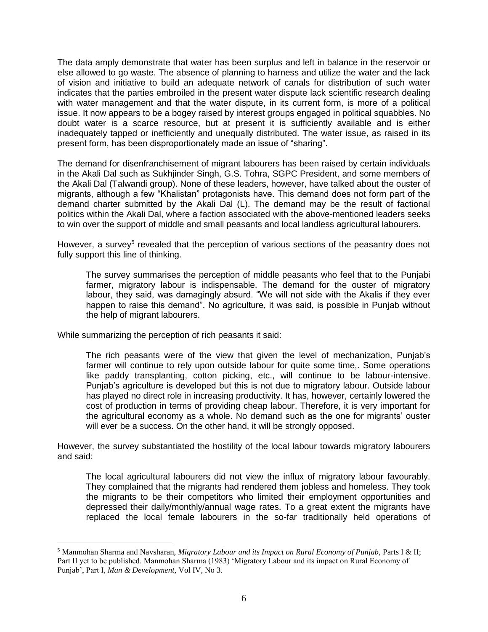The data amply demonstrate that water has been surplus and left in balance in the reservoir or else allowed to go waste. The absence of planning to harness and utilize the water and the lack of vision and initiative to build an adequate network of canals for distribution of such water indicates that the parties embroiled in the present water dispute lack scientific research dealing with water management and that the water dispute, in its current form, is more of a political issue. It now appears to be a bogey raised by interest groups engaged in political squabbles. No doubt water is a scarce resource, but at present it is sufficiently available and is either inadequately tapped or inefficiently and unequally distributed. The water issue, as raised in its present form, has been disproportionately made an issue of "sharing".

The demand for disenfranchisement of migrant labourers has been raised by certain individuals in the Akali Dal such as Sukhjinder Singh, G.S. Tohra, SGPC President, and some members of the Akali Dal (Talwandi group). None of these leaders, however, have talked about the ouster of migrants, although a few "Khalistan" protagonists have. This demand does not form part of the demand charter submitted by the Akali Dal (L). The demand may be the result of factional politics within the Akali Dal, where a faction associated with the above-mentioned leaders seeks to win over the support of middle and small peasants and local landless agricultural labourers.

However, a survey<sup>5</sup> revealed that the perception of various sections of the peasantry does not fully support this line of thinking.

The survey summarises the perception of middle peasants who feel that to the Punjabi farmer, migratory labour is indispensable. The demand for the ouster of migratory labour, they said, was damagingly absurd. "We will not side with the Akalis if they ever happen to raise this demand". No agriculture, it was said, is possible in Punjab without the help of migrant labourers.

While summarizing the perception of rich peasants it said:

 $\overline{a}$ 

The rich peasants were of the view that given the level of mechanization, Punjab's farmer will continue to rely upon outside labour for quite some time,. Some operations like paddy transplanting, cotton picking, etc., will continue to be labour-intensive. Punjab's agriculture is developed but this is not due to migratory labour. Outside labour has played no direct role in increasing productivity. It has, however, certainly lowered the cost of production in terms of providing cheap labour. Therefore, it is very important for the agricultural economy as a whole. No demand such as the one for migrants' ouster will ever be a success. On the other hand, it will be strongly opposed.

However, the survey substantiated the hostility of the local labour towards migratory labourers and said:

The local agricultural labourers did not view the influx of migratory labour favourably. They complained that the migrants had rendered them jobless and homeless. They took the migrants to be their competitors who limited their employment opportunities and depressed their daily/monthly/annual wage rates. To a great extent the migrants have replaced the local female labourers in the so-far traditionally held operations of

<sup>&</sup>lt;sup>5</sup> Manmohan Sharma and Navsharan, *Migratory Labour and its Impact on Rural Economy of Punjab, Parts I & II;* Part II yet to be published. Manmohan Sharma (1983) 'Migratory Labour and its impact on Rural Economy of Punjab', Part I, *Man & Development,* Vol IV, No 3.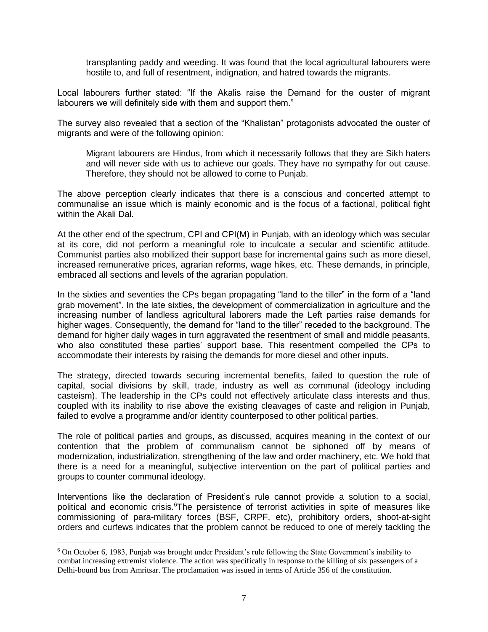transplanting paddy and weeding. It was found that the local agricultural labourers were hostile to, and full of resentment, indignation, and hatred towards the migrants.

Local labourers further stated: "If the Akalis raise the Demand for the ouster of migrant labourers we will definitely side with them and support them."

The survey also revealed that a section of the "Khalistan" protagonists advocated the ouster of migrants and were of the following opinion:

Migrant labourers are Hindus, from which it necessarily follows that they are Sikh haters and will never side with us to achieve our goals. They have no sympathy for out cause. Therefore, they should not be allowed to come to Punjab.

The above perception clearly indicates that there is a conscious and concerted attempt to communalise an issue which is mainly economic and is the focus of a factional, political fight within the Akali Dal.

At the other end of the spectrum, CPI and CPI(M) in Punjab, with an ideology which was secular at its core, did not perform a meaningful role to inculcate a secular and scientific attitude. Communist parties also mobilized their support base for incremental gains such as more diesel, increased remunerative prices, agrarian reforms, wage hikes, etc. These demands, in principle, embraced all sections and levels of the agrarian population.

In the sixties and seventies the CPs began propagating "land to the tiller" in the form of a "land grab movement". In the late sixties, the development of commercialization in agriculture and the increasing number of landless agricultural laborers made the Left parties raise demands for higher wages. Consequently, the demand for "land to the tiller" receded to the background. The demand for higher daily wages in turn aggravated the resentment of small and middle peasants, who also constituted these parties' support base. This resentment compelled the CPs to accommodate their interests by raising the demands for more diesel and other inputs.

The strategy, directed towards securing incremental benefits, failed to question the rule of capital, social divisions by skill, trade, industry as well as communal (ideology including casteism). The leadership in the CPs could not effectively articulate class interests and thus, coupled with its inability to rise above the existing cleavages of caste and religion in Punjab, failed to evolve a programme and/or identity counterposed to other political parties.

The role of political parties and groups, as discussed, acquires meaning in the context of our contention that the problem of communalism cannot be siphoned off by means of modernization, industrialization, strengthening of the law and order machinery, etc. We hold that there is a need for a meaningful, subjective intervention on the part of political parties and groups to counter communal ideology.

Interventions like the declaration of President's rule cannot provide a solution to a social, political and economic crisis.<sup>6</sup>The persistence of terrorist activities in spite of measures like commissioning of para-military forces (BSF, CRPF, etc), prohibitory orders, shoot-at-sight orders and curfews indicates that the problem cannot be reduced to one of merely tackling the

<sup>6</sup> On October 6, 1983, Punjab was brought under President's rule following the State Government's inability to combat increasing extremist violence. The action was specifically in response to the killing of six passengers of a Delhi-bound bus from Amritsar. The proclamation was issued in terms of Article 356 of the constitution.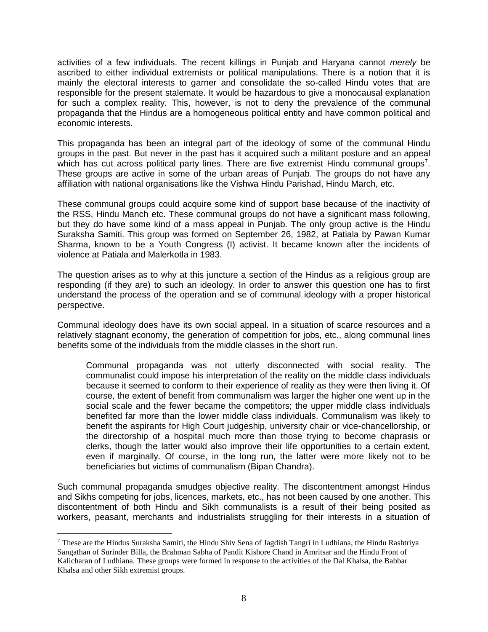activities of a few individuals. The recent killings in Punjab and Haryana cannot *merely* be ascribed to either individual extremists or political manipulations. There is a notion that it is mainly the electoral interests to garner and consolidate the so-called Hindu votes that are responsible for the present stalemate. It would be hazardous to give a monocausal explanation for such a complex reality. This, however, is not to deny the prevalence of the communal propaganda that the Hindus are a homogeneous political entity and have common political and economic interests.

This propaganda has been an integral part of the ideology of some of the communal Hindu groups in the past. But never in the past has it acquired such a militant posture and an appeal which has cut across political party lines. There are five extremist Hindu communal groups<sup>7</sup>. These groups are active in some of the urban areas of Punjab. The groups do not have any affiliation with national organisations like the Vishwa Hindu Parishad, Hindu March, etc.

These communal groups could acquire some kind of support base because of the inactivity of the RSS, Hindu Manch etc. These communal groups do not have a significant mass following, but they do have some kind of a mass appeal in Punjab. The only group active is the Hindu Suraksha Samiti. This group was formed on September 26, 1982, at Patiala by Pawan Kumar Sharma, known to be a Youth Congress (I) activist. It became known after the incidents of violence at Patiala and Malerkotla in 1983.

The question arises as to why at this juncture a section of the Hindus as a religious group are responding (if they are) to such an ideology. In order to answer this question one has to first understand the process of the operation and se of communal ideology with a proper historical perspective.

Communal ideology does have its own social appeal. In a situation of scarce resources and a relatively stagnant economy, the generation of competition for jobs, etc., along communal lines benefits some of the individuals from the middle classes in the short run.

Communal propaganda was not utterly disconnected with social reality. The communalist could impose his interpretation of the reality on the middle class individuals because it seemed to conform to their experience of reality as they were then living it. Of course, the extent of benefit from communalism was larger the higher one went up in the social scale and the fewer became the competitors; the upper middle class individuals benefited far more than the lower middle class individuals. Communalism was likely to benefit the aspirants for High Court judgeship, university chair or vice-chancellorship, or the directorship of a hospital much more than those trying to become chaprasis or clerks, though the latter would also improve their life opportunities to a certain extent, even if marginally. Of course, in the long run, the latter were more likely not to be beneficiaries but victims of communalism (Bipan Chandra).

Such communal propaganda smudges objective reality. The discontentment amongst Hindus and Sikhs competing for jobs, licences, markets, etc., has not been caused by one another. This discontentment of both Hindu and Sikh communalists is a result of their being posited as workers, peasant, merchants and industrialists struggling for their interests in a situation of

<sup>&</sup>lt;sup>7</sup> These are the Hindus Suraksha Samiti, the Hindu Shiv Sena of Jagdish Tangri in Ludhiana, the Hindu Rashtriya Sangathan of Surinder Billa, the Brahman Sabha of Pandit Kishore Chand in Amritsar and the Hindu Front of Kalicharan of Ludhiana. These groups were formed in response to the activities of the Dal Khalsa, the Babbar Khalsa and other Sikh extremist groups.